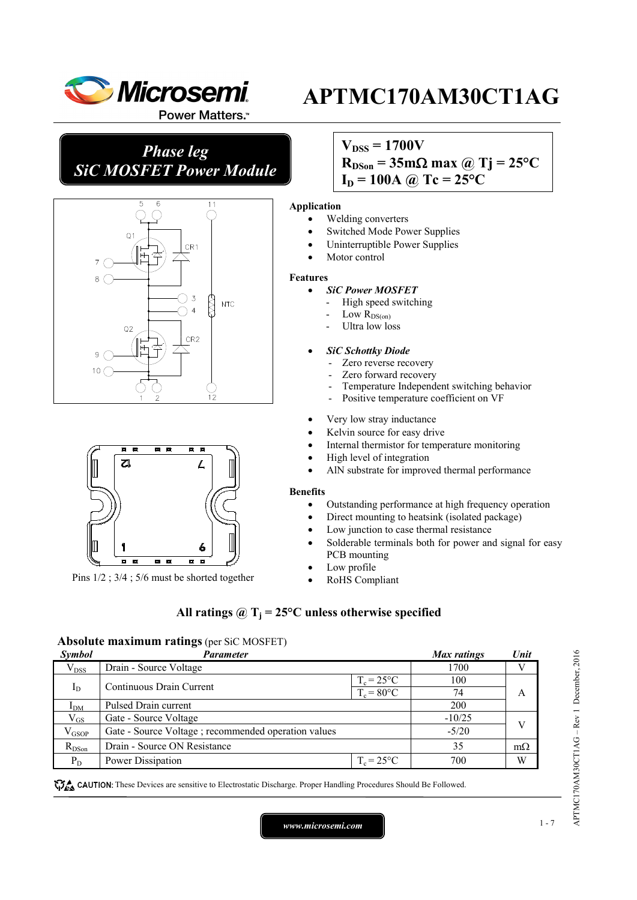

Power Matters.<sup>™</sup>

*Phase leg SiC MOSFET Power Module*





Pins 1/2 ; 3/4 ; 5/6 must be shorted together

## $V_{DSS} = 1700V$

 $R_{DSon} = 35 \text{m}\Omega \text{ max}$  @ Tj = 25<sup>o</sup>C

 $I_D = 100A$  @ Tc =  $25^{\circ}C$ 

#### **Application**

- Welding converters
- Switched Mode Power Supplies
- Uninterruptible Power Supplies
- Motor control

#### **Features**

- *SiC Power MOSFET*
	- High speed switching
	- Low  $R_{DS(0n)}$
	- Ultra low loss

### • *SiC Schottky Diode*

- Zero reverse recovery
- Zero forward recovery
- Temperature Independent switching behavior
- Positive temperature coefficient on VF
- Very low stray inductance
- Kelvin source for easy drive
- Internal thermistor for temperature monitoring
- High level of integration
- AlN substrate for improved thermal performance

#### **Benefits**

- Outstanding performance at high frequency operation
- Direct mounting to heatsink (isolated package)
- Low junction to case thermal resistance
- Solderable terminals both for power and signal for easy PCB mounting
- Low profile
- RoHS Compliant

### All ratings  $\omega_{\text{I}} = 25^{\circ}\text{C}$  unless otherwise specified

### **Absolute maximum ratings** (per SiC MOSFET)

| Symbol                              | <b>Parameter</b>                                    |               | Max ratings | Unit      |
|-------------------------------------|-----------------------------------------------------|---------------|-------------|-----------|
| $V_{DSS}$                           | Drain - Source Voltage                              |               | 1700        |           |
| Continuous Drain Current<br>$I_{D}$ | $T_c = 25$ °C                                       |               | 100         |           |
|                                     |                                                     | $T_c = 80$ °C | 74          | A         |
| I <sub>DM</sub>                     | <b>Pulsed Drain current</b>                         |               | 200         |           |
| $\rm V_{GS}$                        | Gate - Source Voltage                               |               | $-10/25$    |           |
| $\rm V_{GSOP}$                      | Gate - Source Voltage; recommended operation values |               | $-5/20$     |           |
| $R_{DSon}$                          | Drain - Source ON Resistance                        |               | 35          | $m\Omega$ |
| $P_D$                               | Power Dissipation                                   | $T_c = 25$ °C | 700         | W         |

**These** CAUTION: These Devices are sensitive to Electrostatic Discharge. Proper Handling Procedures Should Be Followed.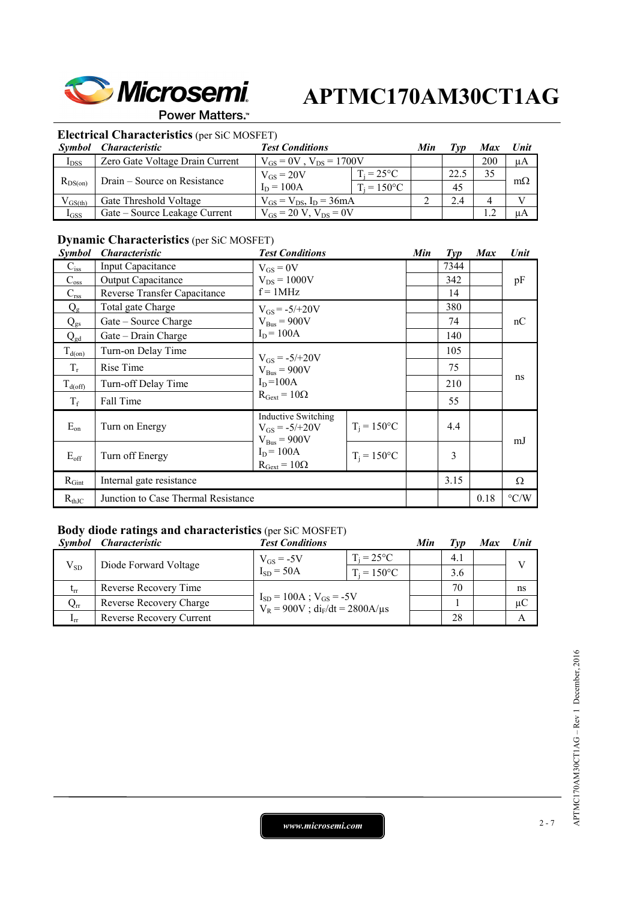

### Power Matters.<sup>™</sup>

### **Electrical Characteristics** (per SiC MOSFET)

| <i>Symbol</i> | <i>Characteristic</i>           | <b>Test Conditions</b>           |                      | Min | Tvn  | Max | Unit      |
|---------------|---------------------------------|----------------------------------|----------------------|-----|------|-----|-----------|
| $I_{DSS}$     | Zero Gate Voltage Drain Current | $V_{GS} = 0V$ , $V_{DS} = 1700V$ |                      |     |      | 200 | μA        |
|               |                                 | $V_{GS} = 20V$                   | $T_i = 25^{\circ}C$  |     | 22.5 | 35  |           |
| $R_{DS(on)}$  | Drain – Source on Resistance    | $I_D = 100A$                     | $T_i = 150^{\circ}C$ |     | 45   |     | $m\Omega$ |
| $V_{GS(th)}$  | Gate Threshold Voltage          | $V_{GS} = V_{DS}$ , $I_D = 36mA$ |                      |     | 2.4  |     |           |
| $I_{GSS}$     | Gate – Source Leakage Current   | $V_{GS} = 20 V$ , $V_{DS} = 0V$  |                      |     |      |     | иA        |

### **Dynamic Characteristics** (per SiC MOSFET)

| <i>Symbol</i> | <i><b>Characteristic</b></i>        | <b>Test Conditions</b>                                                  |                | Min | $\mathit{Typ}$ | <b>Max</b> | Unit               |
|---------------|-------------------------------------|-------------------------------------------------------------------------|----------------|-----|----------------|------------|--------------------|
| $C_{iss}$     | <b>Input Capacitance</b>            | $V_{GS} = 0V$                                                           |                |     | 7344           |            |                    |
| $C_{\rm oss}$ | <b>Output Capacitance</b>           | $V_{DS} = 1000V$                                                        |                |     | 342            |            | pF                 |
| $C_{\rm rss}$ | Reverse Transfer Capacitance        | $f = 1$ MHz                                                             |                |     | 14             |            |                    |
| $Q_{\rm g}$   | Total gate Charge                   | $V_{GS} = -5/+20V$                                                      |                |     | 380            |            |                    |
| $Q_{gs}$      | Gate – Source Charge                | $V_{Bus} = 900V$                                                        |                |     | 74             |            | nC                 |
| $Q_{gd}$      | Gate – Drain Charge                 | $I_D = 100A$                                                            |                |     | 140            |            |                    |
| $T_{d(on)}$   | Turn-on Delay Time                  | $V_{GS} = -5/+20V$                                                      |                |     | 105            |            |                    |
| $T_r$         | Rise Time                           | $V_{\text{Bus}} = 900V$<br>$I_D = 100A$<br>$R_{\text{Gext}} = 10\Omega$ |                |     | 75             |            | ns                 |
| $T_{d(off)}$  | Turn-off Delay Time                 |                                                                         |                |     | 210            |            |                    |
| $T_f$         | Fall Time                           |                                                                         |                |     | 55             |            |                    |
| $E_{on}$      | Turn on Energy                      | <b>Inductive Switching</b><br>$V_{GS} = -5/+20V$<br>$V_{Bus} = 900V$    | $T_i = 150$ °C |     | 4.4            |            | mJ                 |
| $E_{\rm off}$ | Turn off Energy                     | $I_D = 100A$<br>$R_{Gext} = 10\Omega$                                   | $T_i = 150$ °C |     | 3              |            |                    |
| $R_{Gint}$    | Internal gate resistance            |                                                                         |                |     | 3.15           |            | Ω                  |
| $R_{thJC}$    | Junction to Case Thermal Resistance |                                                                         |                |     |                | 0.18       | $\rm ^{\circ} C/W$ |

### **Body diode ratings and characteristics** (per SiC MOSFET)

| <i>Symbol</i>     | <i><b>Characteristic</b></i> | <b>Test Conditions</b>                                                     |                      | Min | Typ | Max | Unit         |
|-------------------|------------------------------|----------------------------------------------------------------------------|----------------------|-----|-----|-----|--------------|
| $V_{SD}$          | Diode Forward Voltage        | $V_{GS}$ = -5V                                                             | $T_i = 25^{\circ}C$  |     | 4.1 |     | $\mathbf{V}$ |
|                   |                              | $I_{SD} = 50A$                                                             | $T_i = 150^{\circ}C$ |     | 3.6 |     |              |
| $t_{rr}$          | Reverse Recovery Time        | $I_{SD} = 100A$ ; $V_{GS} = -5V$<br>$V_R = 900V$ ; $di_F/dt = 2800A/\mu s$ |                      |     | 70  |     | ns           |
| $Q_{rr}$          | Reverse Recovery Charge      |                                                                            |                      |     |     |     | $\mu C$      |
| $\mathbf{I}_{rr}$ | Reverse Recovery Current     |                                                                            |                      |     | 28  |     | Α            |

*www.microsemi.com* 2-7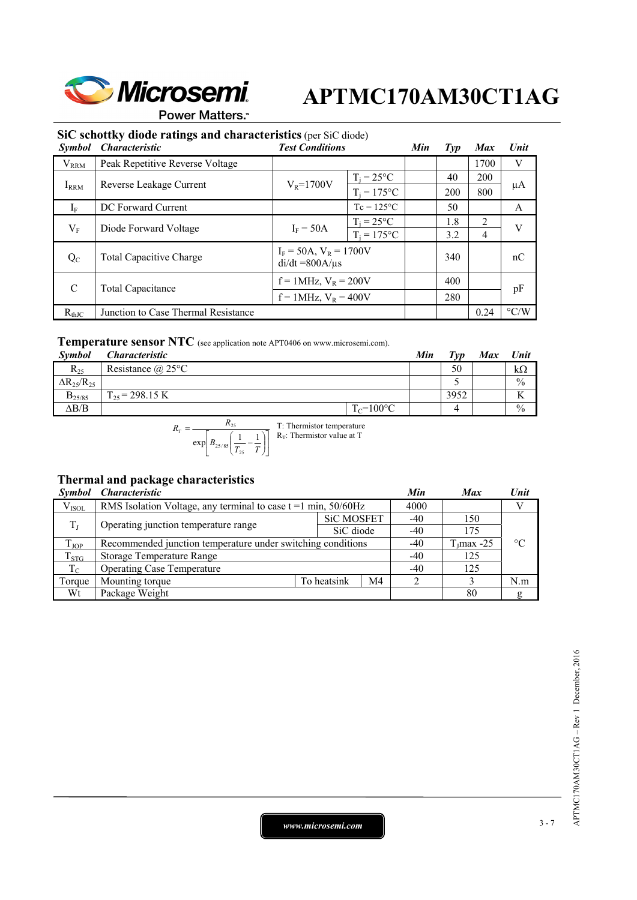

Power Matters.<sup>\*\*</sup>

### **SiC schottky diode ratings and characteristics** (per SiC diode)

| <b>Symbol</b> | <b>Characteristic</b>               | <b>Test Conditions</b>                                 |                     | Min | $\mathcal{I}yp$ | <b>Max</b> | Unit               |     |
|---------------|-------------------------------------|--------------------------------------------------------|---------------------|-----|-----------------|------------|--------------------|-----|
| $V_{RRM}$     | Peak Repetitive Reverse Voltage     |                                                        |                     |     |                 | 1700       | V                  |     |
|               |                                     | $T_i = 25^{\circ}C$<br>$V_R = 1700V$<br>$T_i = 175$ °C |                     | 40  | 200             |            |                    |     |
| $I_{RRM}$     | Reverse Leakage Current             |                                                        |                     |     |                 |            | 200                | 800 |
| $I_F$         | DC Forward Current                  |                                                        | $Tc = 125^{\circ}C$ |     | 50              |            | A                  |     |
| $V_{\rm F}$   | Diode Forward Voltage               | $T_i = 25^{\circ}C$<br>$I_F = 50A$                     |                     |     | 1.8             | 2          | V                  |     |
|               |                                     |                                                        | $T_i = 175$ °C      |     | 3.2             | 4          |                    |     |
| $Q_{C}$       | <b>Total Capacitive Charge</b>      | $I_F = 50A$ , $V_R = 1700V$<br>$di/dt = 800A/\mu s$    |                     |     | 340             |            | nC                 |     |
| $\mathcal{C}$ | Total Capacitance                   | $f = 1$ MHz, $V_R = 200V$                              |                     |     | 400             |            | pF                 |     |
|               |                                     | $f = 1$ MHz, $V_R = 400V$                              |                     |     | 280             |            |                    |     |
| $R_{thJC}$    | Junction to Case Thermal Resistance |                                                        |                     |     |                 | 0.24       | $\rm ^{\circ} C/W$ |     |

### **Temperature sensor NTC** (see application note APT0406 on www.microsemi.com).

| <b>Symbol</b>          | <i><b>Characteristic</b></i> |                | Min | Tvp  | <b>Max</b> | <b>Unit</b>   |
|------------------------|------------------------------|----------------|-----|------|------------|---------------|
| $R_{25}$               | Resistance $\omega$ 25°C     |                |     | 50   |            | kΩ            |
| $\Delta R_{25}/R_{25}$ |                              |                |     |      |            | $\frac{0}{0}$ |
| $B_{25/85}$            | $T_{25}$ = 298.15 K          |                |     | 3952 |            |               |
| $\Delta B/B$           |                              | $T_c = 100$ °C |     |      |            | $\frac{0}{0}$ |

$$
R_T = \frac{R_{25}}{\exp\left[B_{25/85}\left(\frac{1}{T_{25}} - \frac{1}{T}\right)\right]}
$$
 T: Thermistor temperature

### **Thermal and package characteristics**

| <b>Symbol</b> | <i><b>Characteristic</b></i>                                        | Min         | <b>Max</b>        | Unit  |              |                 |
|---------------|---------------------------------------------------------------------|-------------|-------------------|-------|--------------|-----------------|
| $V_{ISOL}$    | RMS Isolation Voltage, any terminal to case $t = 1$ min, $50/60$ Hz |             |                   | 4000  |              |                 |
|               | Operating junction temperature range                                |             | <b>SiC MOSFET</b> | $-40$ | 150          |                 |
| $T_{\rm I}$   |                                                                     |             | SiC diode         | $-40$ | 175          |                 |
| $T_{\rm JOP}$ | Recommended junction temperature under switching conditions         |             |                   |       | $TI$ max -25 | $\rm ^{\circ}C$ |
| $T_{STG}$     | <b>Storage Temperature Range</b>                                    | -40         | 125               |       |              |                 |
| $T_{\rm C}$   | <b>Operating Case Temperature</b>                                   |             |                   |       |              |                 |
| Torque        | Mounting torque                                                     | To heatsink | M4                |       |              | N.m             |
| Wt            | Package Weight                                                      |             |                   |       | 80           | g               |

*www.microsemi.com* 3-7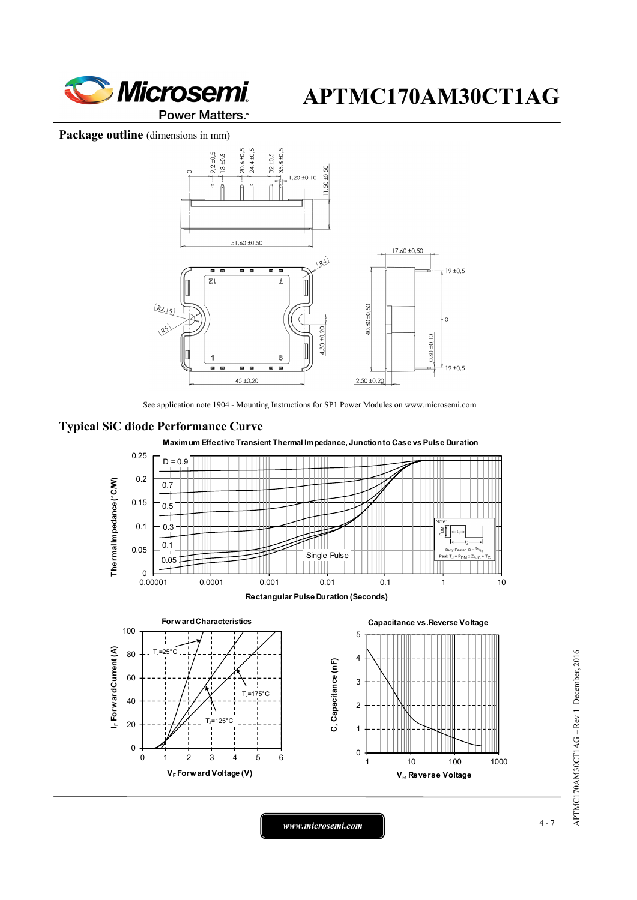

Package outline (dimensions in mm)



See application note 1904 - Mounting Instructions for SP1 Power Modules on www.microsemi.com





APTMC170AM30CT1AG - Rev 1 December, 2016 APTMC170AM30CT1AG – Rev 1 December, 2016

*www.microsemi.com* 4-7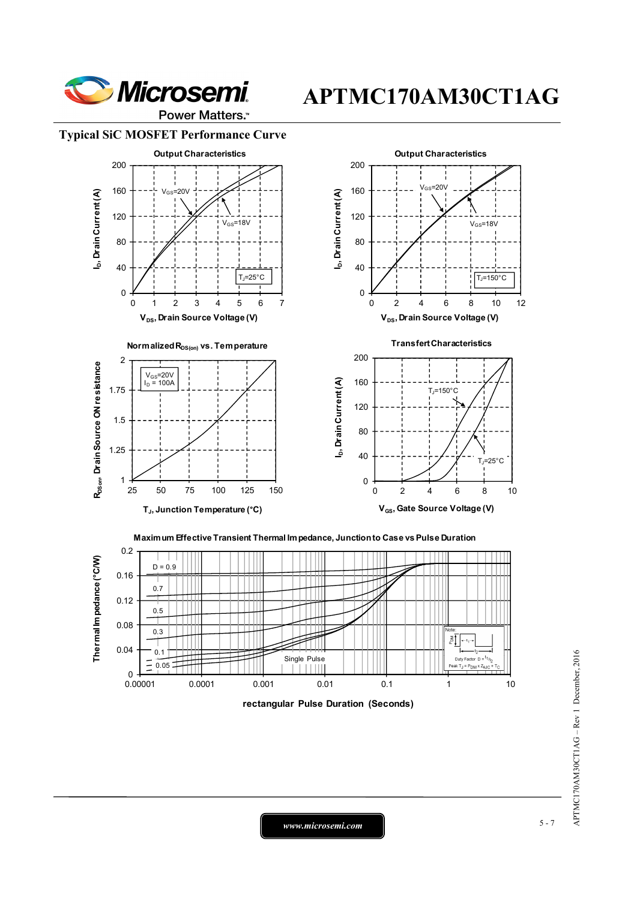

Power Matters.<sup>\*\*</sup>





 $D = 0.9$ 0.2



**rectangular Pulse Duration (Seconds)**

*www.microsemi.com* 5-7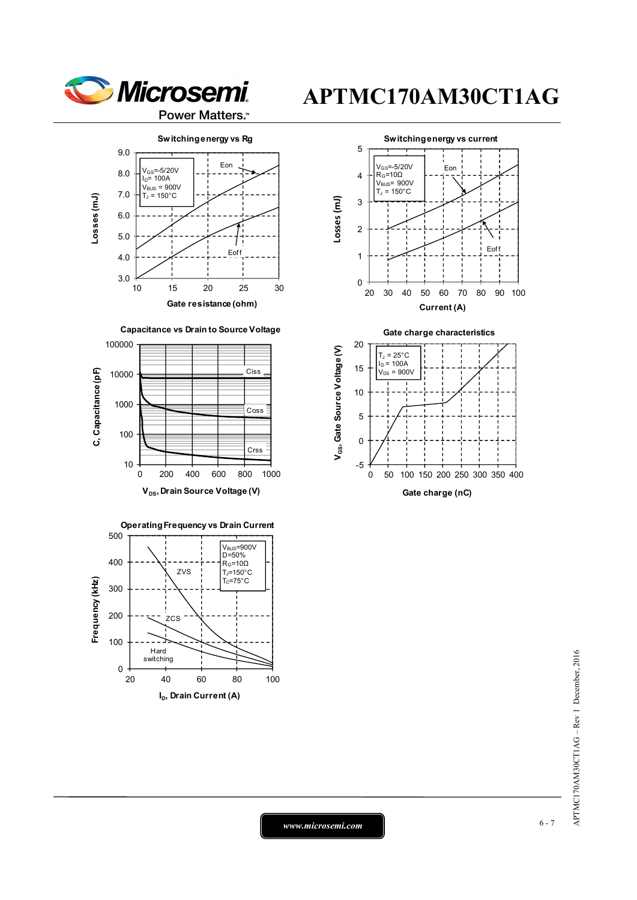











**Gate charge characteristics**





*www.microsemi.com* 6-7